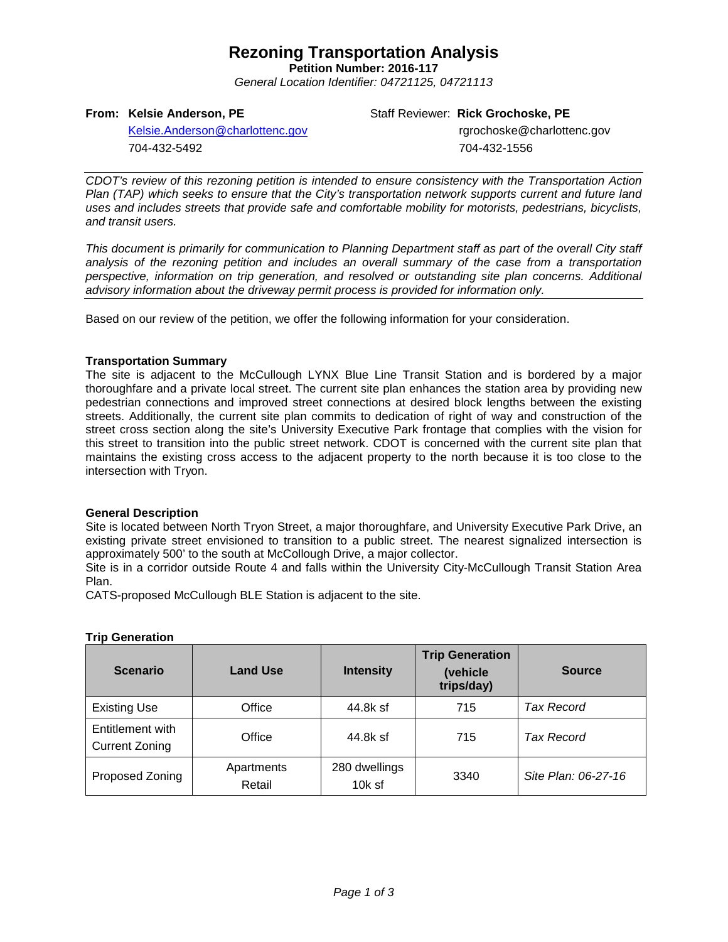## **Rezoning Transportation Analysis**

**Petition Number: 2016-117** *General Location Identifier: 04721125, 04721113*

## **From: Kelsie Anderson, PE**

Staff Reviewer: **Rick Grochoske, PE**

[Kelsie.Anderson@charlottenc.gov](mailto:Kelsie.Anderson@charlottenc.gov) 704-432-5492

rgrochoske@charlottenc.gov 704-432-1556

*CDOT's review of this rezoning petition is intended to ensure consistency with the Transportation Action Plan (TAP) which seeks to ensure that the City's transportation network supports current and future land uses and includes streets that provide safe and comfortable mobility for motorists, pedestrians, bicyclists, and transit users.*

*This document is primarily for communication to Planning Department staff as part of the overall City staff analysis of the rezoning petition and includes an overall summary of the case from a transportation perspective, information on trip generation, and resolved or outstanding site plan concerns. Additional advisory information about the driveway permit process is provided for information only.*

Based on our review of the petition, we offer the following information for your consideration.

## **Transportation Summary**

The site is adjacent to the McCullough LYNX Blue Line Transit Station and is bordered by a major thoroughfare and a private local street. The current site plan enhances the station area by providing new pedestrian connections and improved street connections at desired block lengths between the existing streets. Additionally, the current site plan commits to dedication of right of way and construction of the street cross section along the site's University Executive Park frontage that complies with the vision for this street to transition into the public street network. CDOT is concerned with the current site plan that maintains the existing cross access to the adjacent property to the north because it is too close to the intersection with Tryon.

## **General Description**

Site is located between North Tryon Street, a major thoroughfare, and University Executive Park Drive, an existing private street envisioned to transition to a public street. The nearest signalized intersection is approximately 500' to the south at McCollough Drive, a major collector.

Site is in a corridor outside Route 4 and falls within the University City-McCullough Transit Station Area Plan.

CATS-proposed McCullough BLE Station is adjacent to the site.

| <b>Scenario</b>                           | <b>Land Use</b>      | <b>Intensity</b>          | <b>Trip Generation</b><br>(vehicle<br>trips/day) | <b>Source</b>       |
|-------------------------------------------|----------------------|---------------------------|--------------------------------------------------|---------------------|
| <b>Existing Use</b>                       | Office               | 44.8k sf                  | 715                                              | Tax Record          |
| Entitlement with<br><b>Current Zoning</b> | Office               | 44.8k sf                  | 715                                              | <b>Tax Record</b>   |
| Proposed Zoning                           | Apartments<br>Retail | 280 dwellings<br>$10k$ sf | 3340                                             | Site Plan: 06-27-16 |

## **Trip Generation**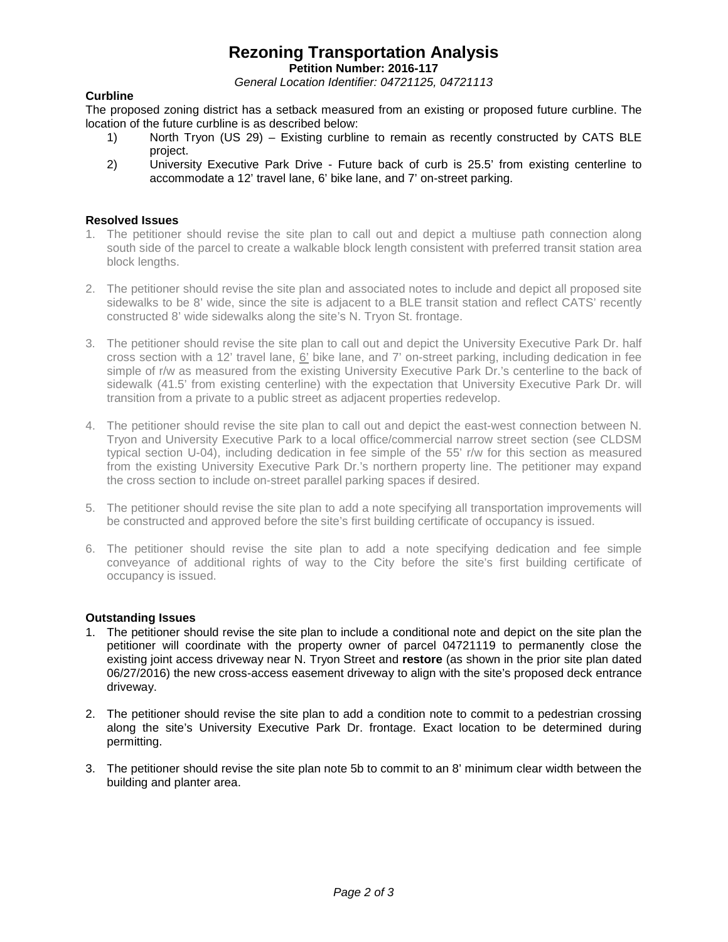# **Rezoning Transportation Analysis**

**Petition Number: 2016-117**

*General Location Identifier: 04721125, 04721113*

## **Curbline**

The proposed zoning district has a setback measured from an existing or proposed future curbline. The location of the future curbline is as described below:<br>1) North Tryon (US 29) – Existing curblin

- North Tryon (US 29) Existing curbline to remain as recently constructed by CATS BLE project.
- 2) University Executive Park Drive Future back of curb is 25.5' from existing centerline to accommodate a 12' travel lane, 6' bike lane, and 7' on-street parking.

## **Resolved Issues**

- 1. The petitioner should revise the site plan to call out and depict a multiuse path connection along south side of the parcel to create a walkable block length consistent with preferred transit station area block lengths.
- 2. The petitioner should revise the site plan and associated notes to include and depict all proposed site sidewalks to be 8' wide, since the site is adjacent to a BLE transit station and reflect CATS' recently constructed 8' wide sidewalks along the site's N. Tryon St. frontage.
- 3. The petitioner should revise the site plan to call out and depict the University Executive Park Dr. half cross section with a 12' travel lane, 6' bike lane, and 7' on-street parking, including dedication in fee simple of r/w as measured from the existing University Executive Park Dr.'s centerline to the back of sidewalk (41.5' from existing centerline) with the expectation that University Executive Park Dr. will transition from a private to a public street as adjacent properties redevelop.
- 4. The petitioner should revise the site plan to call out and depict the east-west connection between N. Tryon and University Executive Park to a local office/commercial narrow street section (see CLDSM typical section U-04), including dedication in fee simple of the 55' r/w for this section as measured from the existing University Executive Park Dr.'s northern property line. The petitioner may expand the cross section to include on-street parallel parking spaces if desired.
- 5. The petitioner should revise the site plan to add a note specifying all transportation improvements will be constructed and approved before the site's first building certificate of occupancy is issued.
- 6. The petitioner should revise the site plan to add a note specifying dedication and fee simple conveyance of additional rights of way to the City before the site's first building certificate of occupancy is issued.

## **Outstanding Issues**

- 1. The petitioner should revise the site plan to include a conditional note and depict on the site plan the petitioner will coordinate with the property owner of parcel 04721119 to permanently close the existing joint access driveway near N. Tryon Street and **restore** (as shown in the prior site plan dated 06/27/2016) the new cross-access easement driveway to align with the site's proposed deck entrance driveway.
- 2. The petitioner should revise the site plan to add a condition note to commit to a pedestrian crossing along the site's University Executive Park Dr. frontage. Exact location to be determined during permitting.
- 3. The petitioner should revise the site plan note 5b to commit to an 8' minimum clear width between the building and planter area.